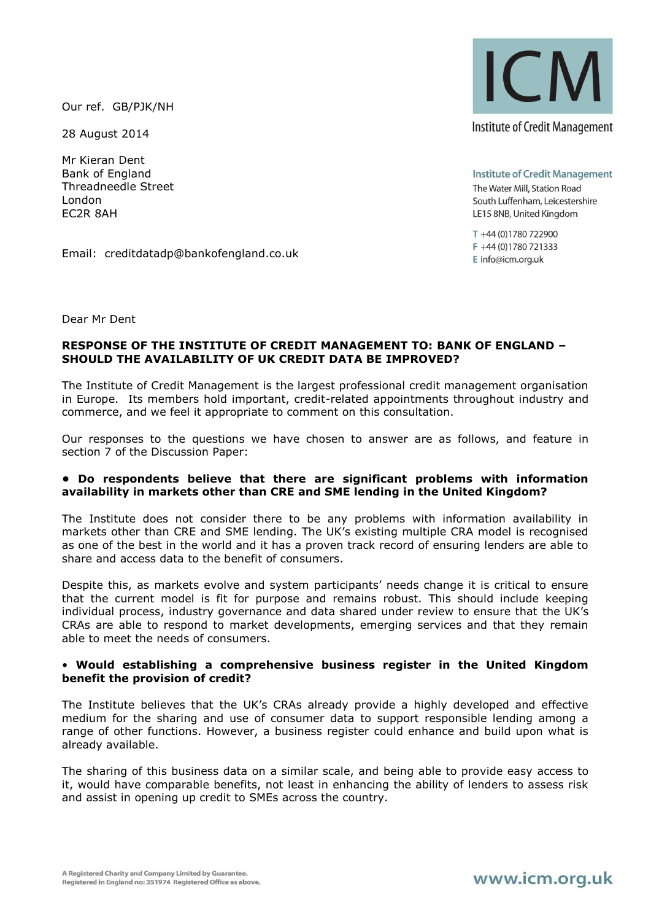Our ref. GB/PJK/NH

28 August 2014

Mr Kieran Dent Bank of England Threadneedle Street London EC2R 8AH

**ICM Institute of Credit Management** 

**Institute of Credit Management** The Water Mill, Station Road South Luffenham, Leicestershire LE15 8NB, United Kingdom

T +44 (0)1780 722900 F +44 (0)1780 721333 E info@icm.org.uk

Email: creditdatadp@bankofengland.co.uk

Dear Mr Dent

### **RESPONSE OF THE INSTITUTE OF CREDIT MANAGEMENT TO: BANK OF ENGLAND – SHOULD THE AVAILABILITY OF UK CREDIT DATA BE IMPROVED?**

The Institute of Credit Management is the largest professional credit management organisation in Europe. Its members hold important, credit-related appointments throughout industry and commerce, and we feel it appropriate to comment on this consultation.

Our responses to the questions we have chosen to answer are as follows, and feature in section 7 of the Discussion Paper:

#### **• Do respondents believe that there are significant problems with information availability in markets other than CRE and SME lending in the United Kingdom?**

The Institute does not consider there to be any problems with information availability in markets other than CRE and SME lending. The UK's existing multiple CRA model is recognised as one of the best in the world and it has a proven track record of ensuring lenders are able to share and access data to the benefit of consumers.

Despite this, as markets evolve and system participants' needs change it is critical to ensure that the current model is fit for purpose and remains robust. This should include keeping individual process, industry governance and data shared under review to ensure that the UK's CRAs are able to respond to market developments, emerging services and that they remain able to meet the needs of consumers.

### • **Would establishing a comprehensive business register in the United Kingdom benefit the provision of credit?**

The Institute believes that the UK's CRAs already provide a highly developed and effective medium for the sharing and use of consumer data to support responsible lending among a range of other functions. However, a business register could enhance and build upon what is already available.

The sharing of this business data on a similar scale, and being able to provide easy access to it, would have comparable benefits, not least in enhancing the ability of lenders to assess risk and assist in opening up credit to SMEs across the country.

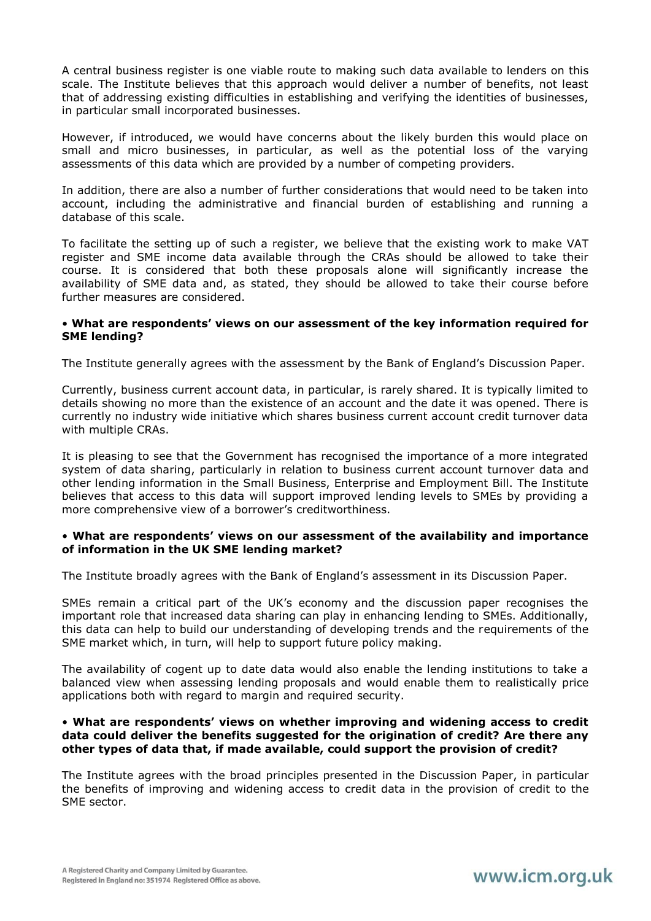A central business register is one viable route to making such data available to lenders on this scale. The Institute believes that this approach would deliver a number of benefits, not least that of addressing existing difficulties in establishing and verifying the identities of businesses, in particular small incorporated businesses.

However, if introduced, we would have concerns about the likely burden this would place on small and micro businesses, in particular, as well as the potential loss of the varying assessments of this data which are provided by a number of competing providers.

In addition, there are also a number of further considerations that would need to be taken into account, including the administrative and financial burden of establishing and running a database of this scale.

To facilitate the setting up of such a register, we believe that the existing work to make VAT register and SME income data available through the CRAs should be allowed to take their course. It is considered that both these proposals alone will significantly increase the availability of SME data and, as stated, they should be allowed to take their course before further measures are considered.

### • **What are respondents' views on our assessment of the key information required for SME lending?**

The Institute generally agrees with the assessment by the Bank of England's Discussion Paper.

Currently, business current account data, in particular, is rarely shared. It is typically limited to details showing no more than the existence of an account and the date it was opened. There is currently no industry wide initiative which shares business current account credit turnover data with multiple CRAs.

It is pleasing to see that the Government has recognised the importance of a more integrated system of data sharing, particularly in relation to business current account turnover data and other lending information in the Small Business, Enterprise and Employment Bill. The Institute believes that access to this data will support improved lending levels to SMEs by providing a more comprehensive view of a borrower's creditworthiness.

### • **What are respondents' views on our assessment of the availability and importance of information in the UK SME lending market?**

The Institute broadly agrees with the Bank of England's assessment in its Discussion Paper.

SMEs remain a critical part of the UK's economy and the discussion paper recognises the important role that increased data sharing can play in enhancing lending to SMEs. Additionally, this data can help to build our understanding of developing trends and the requirements of the SME market which, in turn, will help to support future policy making.

The availability of cogent up to date data would also enable the lending institutions to take a balanced view when assessing lending proposals and would enable them to realistically price applications both with regard to margin and required security.

### • **What are respondents' views on whether improving and widening access to credit data could deliver the benefits suggested for the origination of credit? Are there any other types of data that, if made available, could support the provision of credit?**

The Institute agrees with the broad principles presented in the Discussion Paper, in particular the benefits of improving and widening access to credit data in the provision of credit to the SME sector.

# www.icm.org.uk